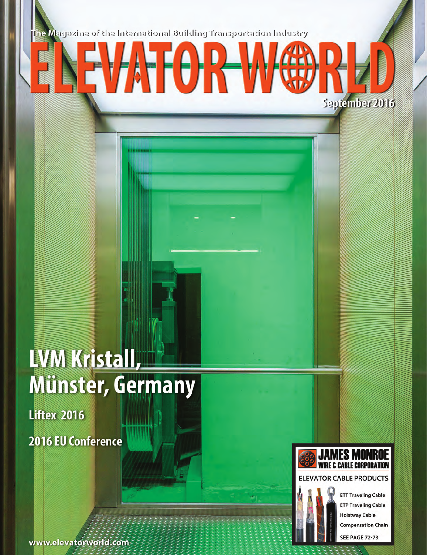The Magazine of the International Building Transportation Industry

TA T

1

## LVM Kristall, **Münster, Germany**

**Liftex 2016** 2016 EU Conference





September 2016

## **ELEVATOR CABLE PRODUCTS**



**ETT Traveling Cable ETP Traveling Cable Hoistway Cable Compensation Chain SEE PAGE 72-73**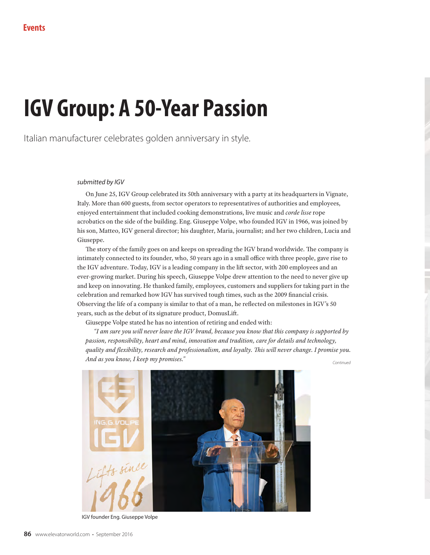## **IGV Group: A 50-Year Passion**

Italian manufacturer celebrates golden anniversary in style.

## *submitted by IGV*

On June 25, IGV Group celebrated its 50th anniversary with a party at its headquarters in Vignate, Italy. More than 600 guests, from sector operators to representatives of authorities and employees, enjoyed entertainment that included cooking demonstrations, live music and *corde lisse* rope acrobatics on the side of the building. Eng. Giuseppe Volpe, who founded IGV in 1966, was joined by his son, Matteo, IGV general director; his daughter, Maria, journalist; and her two children, Lucia and Giuseppe.

The story of the family goes on and keeps on spreading the IGV brand worldwide. The company is intimately connected to its founder, who, 50 years ago in a small office with three people, gave rise to the IGV adventure. Today, IGV is a leading company in the lift sector, with 200 employees and an ever-growing market. During his speech, Giuseppe Volpe drew attention to the need to never give up and keep on innovating. He thanked family, employees, customers and suppliers for taking part in the celebration and remarked how IGV has survived tough times, such as the 2009 financial crisis. Observing the life of a company is similar to that of a man, he reflected on milestones in IGV's 50 years, such as the debut of its signature product, DomusLift.

Giuseppe Volpe stated he has no intention of retiring and ended with:

*"I am sure you will never leave the IGV brand, because you know that this company is supported by passion, responsibility, heart and mind, innovation and tradition, care for details and technology, quality and flexibility, research and professionalism, and loyalty. This will never change. I promise you. And as you know, I keep my promises." Continued*



IGV founder Eng. Giuseppe Volpe